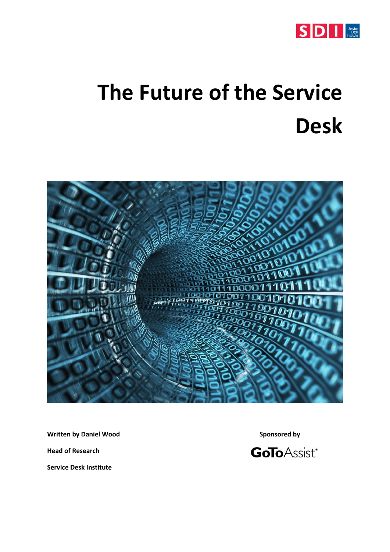

# **The Future of the Service Desk**



**Written by Daniel Wood Sponsored by** 

**Head of Research**

**Service Desk Institute**

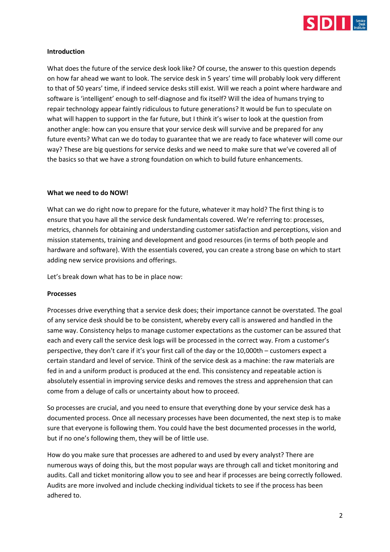

#### **Introduction**

What does the future of the service desk look like? Of course, the answer to this question depends on how far ahead we want to look. The service desk in 5 years' time will probably look very different to that of 50 years' time, if indeed service desks still exist. Will we reach a point where hardware and software is 'intelligent' enough to self-diagnose and fix itself? Will the idea of humans trying to repair technology appear faintly ridiculous to future generations? It would be fun to speculate on what will happen to support in the far future, but I think it's wiser to look at the question from another angle: how can you ensure that your service desk will survive and be prepared for any future events? What can we do today to guarantee that we are ready to face whatever will come our way? These are big questions for service desks and we need to make sure that we've covered all of the basics so that we have a strong foundation on which to build future enhancements.

#### **What we need to do NOW!**

What can we do right now to prepare for the future, whatever it may hold? The first thing is to ensure that you have all the service desk fundamentals covered. We're referring to: processes, metrics, channels for obtaining and understanding customer satisfaction and perceptions, vision and mission statements, training and development and good resources (in terms of both people and hardware and software). With the essentials covered, you can create a strong base on which to start adding new service provisions and offerings.

Let's break down what has to be in place now:

#### **Processes**

Processes drive everything that a service desk does; their importance cannot be overstated. The goal of any service desk should be to be consistent, whereby every call is answered and handled in the same way. Consistency helps to manage customer expectations as the customer can be assured that each and every call the service desk logs will be processed in the correct way. From a customer's perspective, they don't care if it's your first call of the day or the 10,000th – customers expect a certain standard and level of service. Think of the service desk as a machine: the raw materials are fed in and a uniform product is produced at the end. This consistency and repeatable action is absolutely essential in improving service desks and removes the stress and apprehension that can come from a deluge of calls or uncertainty about how to proceed.

So processes are crucial, and you need to ensure that everything done by your service desk has a documented process. Once all necessary processes have been documented, the next step is to make sure that everyone is following them. You could have the best documented processes in the world, but if no one's following them, they will be of little use.

How do you make sure that processes are adhered to and used by every analyst? There are numerous ways of doing this, but the most popular ways are through call and ticket monitoring and audits. Call and ticket monitoring allow you to see and hear if processes are being correctly followed. Audits are more involved and include checking individual tickets to see if the process has been adhered to.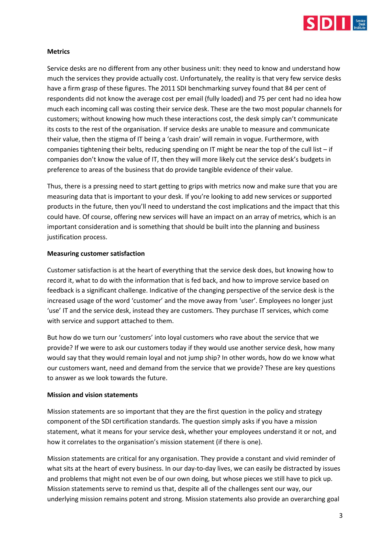

#### **Metrics**

Service desks are no different from any other business unit: they need to know and understand how much the services they provide actually cost. Unfortunately, the reality is that very few service desks have a firm grasp of these figures. The 2011 SDI benchmarking survey found that 84 per cent of respondents did not know the average cost per email (fully loaded) and 75 per cent had no idea how much each incoming call was costing their service desk. These are the two most popular channels for customers; without knowing how much these interactions cost, the desk simply can't communicate its costs to the rest of the organisation. If service desks are unable to measure and communicate their value, then the stigma of IT being a 'cash drain' will remain in vogue. Furthermore, with companies tightening their belts, reducing spending on IT might be near the top of the cull list – if companies don't know the value of IT, then they will more likely cut the service desk's budgets in preference to areas of the business that do provide tangible evidence of their value.

Thus, there is a pressing need to start getting to grips with metrics now and make sure that you are measuring data that is important to your desk. If you're looking to add new services or supported products in the future, then you'll need to understand the cost implications and the impact that this could have. Of course, offering new services will have an impact on an array of metrics, which is an important consideration and is something that should be built into the planning and business justification process.

#### **Measuring customer satisfaction**

Customer satisfaction is at the heart of everything that the service desk does, but knowing how to record it, what to do with the information that is fed back, and how to improve service based on feedback is a significant challenge. Indicative of the changing perspective of the service desk is the increased usage of the word 'customer' and the move away from 'user'. Employees no longer just 'use' IT and the service desk, instead they are customers. They purchase IT services, which come with service and support attached to them.

But how do we turn our 'customers' into loyal customers who rave about the service that we provide? If we were to ask our customers today if they would use another service desk, how many would say that they would remain loyal and not jump ship? In other words, how do we know what our customers want, need and demand from the service that we provide? These are key questions to answer as we look towards the future.

#### **Mission and vision statements**

Mission statements are so important that they are the first question in the policy and strategy component of the SDI certification standards. The question simply asks if you have a mission statement, what it means for your service desk, whether your employees understand it or not, and how it correlates to the organisation's mission statement (if there is one).

Mission statements are critical for any organisation. They provide a constant and vivid reminder of what sits at the heart of every business. In our day-to-day lives, we can easily be distracted by issues and problems that might not even be of our own doing, but whose pieces we still have to pick up. Mission statements serve to remind us that, despite all of the challenges sent our way, our underlying mission remains potent and strong. Mission statements also provide an overarching goal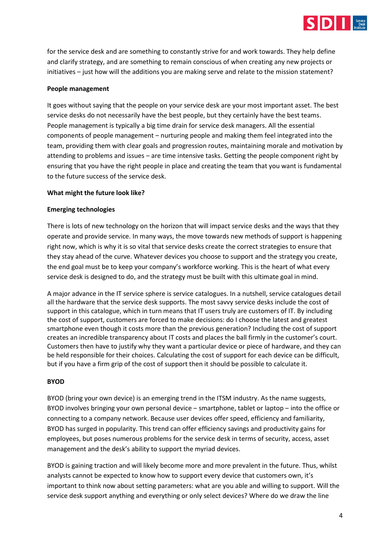

for the service desk and are something to constantly strive for and work towards. They help define and clarify strategy, and are something to remain conscious of when creating any new projects or initiatives – just how will the additions you are making serve and relate to the mission statement?

# **People management**

It goes without saying that the people on your service desk are your most important asset. The best service desks do not necessarily have the best people, but they certainly have the best teams. People management is typically a big time drain for service desk managers. All the essential components of people management – nurturing people and making them feel integrated into the team, providing them with clear goals and progression routes, maintaining morale and motivation by attending to problems and issues – are time intensive tasks. Getting the people component right by ensuring that you have the right people in place and creating the team that you want is fundamental to the future success of the service desk.

# **What might the future look like?**

# **Emerging technologies**

There is lots of new technology on the horizon that will impact service desks and the ways that they operate and provide service. In many ways, the move towards new methods of support is happening right now, which is why it is so vital that service desks create the correct strategies to ensure that they stay ahead of the curve. Whatever devices you choose to support and the strategy you create, the end goal must be to keep your company's workforce working. This is the heart of what every service desk is designed to do, and the strategy must be built with this ultimate goal in mind.

A major advance in the IT service sphere is service catalogues. In a nutshell, service catalogues detail all the hardware that the service desk supports. The most savvy service desks include the cost of support in this catalogue, which in turn means that IT users truly are customers of IT. By including the cost of support, customers are forced to make decisions: do I choose the latest and greatest smartphone even though it costs more than the previous generation? Including the cost of support creates an incredible transparency about IT costs and places the ball firmly in the customer's court. Customers then have to justify why they want a particular device or piece of hardware, and they can be held responsible for their choices. Calculating the cost of support for each device can be difficult, but if you have a firm grip of the cost of support then it should be possible to calculate it.

#### **BYOD**

BYOD (bring your own device) is an emerging trend in the ITSM industry. As the name suggests, BYOD involves bringing your own personal device – smartphone, tablet or laptop – into the office or connecting to a company network. Because user devices offer speed, efficiency and familiarity, BYOD has surged in popularity. This trend can offer efficiency savings and productivity gains for employees, but poses numerous problems for the service desk in terms of security, access, asset management and the desk's ability to support the myriad devices.

BYOD is gaining traction and will likely become more and more prevalent in the future. Thus, whilst analysts cannot be expected to know how to support every device that customers own, it's important to think now about setting parameters: what are you able and willing to support. Will the service desk support anything and everything or only select devices? Where do we draw the line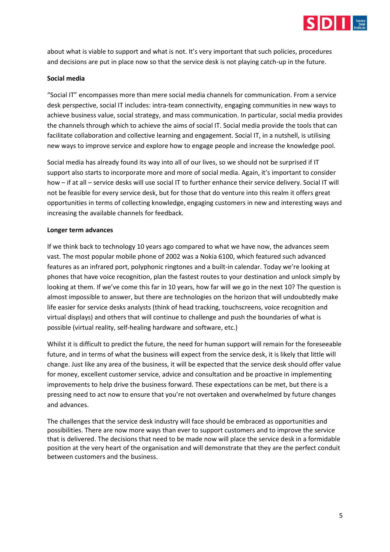

about what is viable to support and what is not. It's very important that such policies, procedures and decisions are put in place now so that the service desk is not playing catch-up in the future.

#### **Social media**

"Social IT" encompasses more than mere social media channels for communication. From a service desk perspective, social IT includes: intra-team connectivity, engaging communities in new ways to achieve business value, social strategy, and mass communication. In particular, social media provides the channels through which to achieve the aims of social IT. Social media provide the tools that can facilitate collaboration and collective learning and engagement. Social IT, in a nutshell, is utilising new ways to improve service and explore how to engage people and increase the knowledge pool.

Social media has already found its way into all of our lives, so we should not be surprised if IT support also starts to incorporate more and more of social media. Again, it's important to consider how – if at all – service desks will use social IT to further enhance their service delivery. Social IT will not be feasible for every service desk, but for those that do venture into this realm it offers great opportunities in terms of collecting knowledge, engaging customers in new and interesting ways and increasing the available channels for feedback.

#### **Longer term advances**

If we think back to technology 10 years ago compared to what we have now, the advances seem vast. The most popular mobile phone of 2002 was a Nokia 6100, which featured such advanced features as an infrared port, polyphonic ringtones and a built-in calendar. Today we're looking at phones that have voice recognition, plan the fastest routes to your destination and unlock simply by looking at them. If we've come this far in 10 years, how far will we go in the next 10? The question is almost impossible to answer, but there are technologies on the horizon that will undoubtedly make life easier for service desks analysts (think of head tracking, touchscreens, voice recognition and virtual displays) and others that will continue to challenge and push the boundaries of what is possible (virtual reality, self-healing hardware and software, etc.)

Whilst it is difficult to predict the future, the need for human support will remain for the foreseeable future, and in terms of what the business will expect from the service desk, it is likely that little will change. Just like any area of the business, it will be expected that the service desk should offer value for money, excellent customer service, advice and consultation and be proactive in implementing improvements to help drive the business forward. These expectations can be met, but there is a pressing need to act now to ensure that you're not overtaken and overwhelmed by future changes and advances.

The challenges that the service desk industry will face should be embraced as opportunities and possibilities. There are now more ways than ever to support customers and to improve the service that is delivered. The decisions that need to be made now will place the service desk in a formidable position at the very heart of the organisation and will demonstrate that they are the perfect conduit between customers and the business.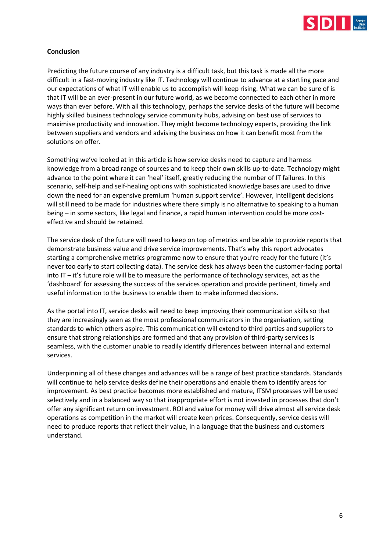

# **Conclusion**

Predicting the future course of any industry is a difficult task, but this task is made all the more difficult in a fast-moving industry like IT. Technology will continue to advance at a startling pace and our expectations of what IT will enable us to accomplish will keep rising. What we can be sure of is that IT will be an ever-present in our future world, as we become connected to each other in more ways than ever before. With all this technology, perhaps the service desks of the future will become highly skilled business technology service community hubs, advising on best use of services to maximise productivity and innovation. They might become technology experts, providing the link between suppliers and vendors and advising the business on how it can benefit most from the solutions on offer.

Something we've looked at in this article is how service desks need to capture and harness knowledge from a broad range of sources and to keep their own skills up-to-date. Technology might advance to the point where it can 'heal' itself, greatly reducing the number of IT failures. In this scenario, self-help and self-healing options with sophisticated knowledge bases are used to drive down the need for an expensive premium 'human support service'. However, intelligent decisions will still need to be made for industries where there simply is no alternative to speaking to a human being – in some sectors, like legal and finance, a rapid human intervention could be more costeffective and should be retained.

The service desk of the future will need to keep on top of metrics and be able to provide reports that demonstrate business value and drive service improvements. That's why this report advocates starting a comprehensive metrics programme now to ensure that you're ready for the future (it's never too early to start collecting data). The service desk has always been the customer-facing portal into  $IT - it's future role will be to measure the performance of technology services, act as the$ 'dashboard' for assessing the success of the services operation and provide pertinent, timely and useful information to the business to enable them to make informed decisions.

As the portal into IT, service desks will need to keep improving their communication skills so that they are increasingly seen as the most professional communicators in the organisation, setting standards to which others aspire. This communication will extend to third parties and suppliers to ensure that strong relationships are formed and that any provision of third-party services is seamless, with the customer unable to readily identify differences between internal and external services.

Underpinning all of these changes and advances will be a range of best practice standards. Standards will continue to help service desks define their operations and enable them to identify areas for improvement. As best practice becomes more established and mature, ITSM processes will be used selectively and in a balanced way so that inappropriate effort is not invested in processes that don't offer any significant return on investment. ROI and value for money will drive almost all service desk operations as competition in the market will create keen prices. Consequently, service desks will need to produce reports that reflect their value, in a language that the business and customers understand.